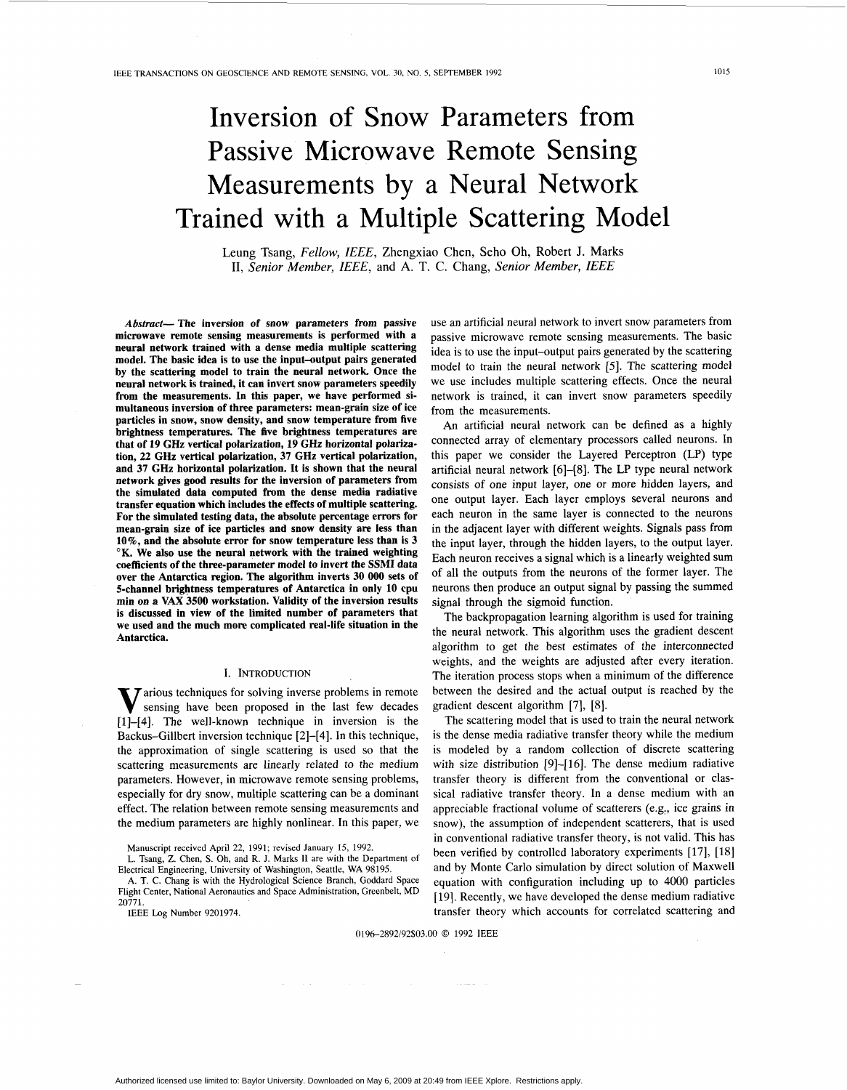# Inversion of Snow Parameters from Passive Microwave Remote Sensing Measurements by a Neural Network Trained with a Multiple Scattering Model

Leung Tsang, *Fellow, IEEE,* Zhengxiao Chen, Seho Oh, Robert J. Marks **11,** *Senior Member, IEEE,* and **A.** T. C. Chang, *Senior Member, IEEE* 

*Abstract-* The inversion of snow parameters from passive microwave remote sensing measurements is performed with a neural network trained with a dense media multiple scattering model. The basic idea is to use the input-output pairs generated by the scattering model to train the neural network Once the neural network is trained, it can invert snow parameters speedily from the measurements. In this paper, we have performed simultaneous inversion of three parameters: mean-grain size of ice particles in snow, snow density, and snow temperature from five brightness temperatures. The five brightness temperatures are that of 19 GHz vertical polarization, 19 GHz horizontal polarization, 22 GHz vertical polarization, **37** GHz vertical polarization, and **37** GHz horizontal polarization. It is shown that the neural network gives good results for the inversion of parameters from the simulated data computed from the dense media radiative transfer equation which includes the effects of multiple scattering. For the simulated testing data, the absolute percentage errors for mean-grain size of ice particles and snow density are less than lo%, and the absolute error for snow temperature less than is **3**  <sup>o</sup>K. We also use the neural network with the trained weighting coefficients of the three-parameter model to invert the SSMI data over the Antarctica region. The algorithm inverts **30 000** sets of 5-channel brightness temperatures of Antarctica in only 10 cpu min on a VAX 3500 workstation. Validity of the inversion results is discussed in view of the limited number of parameters that we used and the much more complicated real-life situation in the Antarctica.

## I. INTRODUCTION

**V** arious techniques for solving inverse problems in remote sensing have been proposed in the last few decades **[1]-[4].** The well-known technique in inversion is the Backus-Gilbert inversion technique [2]-[4]. In this technique, the approximation of single scattering is used so that the scattering measurements are linearly related to the medium parameters. However, in microwave remote sensing problems, especially for dry snow, multiple scattering can be a dominant effect. The relation between remote sensing measurements and the medium parameters are highly nonlinear. In this paper, we

Manuscript received April 22, 1991; revised January 15, 1992.

IEEE Log Number 9201974.

use an artificial neural network to invert snow parameters from passive microwave remote sensing measurements. The basic idea is to use the input-output pairs generated by the scattering model to train the neural network [5]. The scattering model we use includes multiple scattering effects. Once the neural network is trained, it can invert snow parameters speedily from the measurements.

*An* artificial neural network can be defined as a highly connected array of elementary processors called neurons. In this paper we consider the Layered Perceptron (LP) type artificial neural network [6]-[8]. The LP type neural network consists of one input layer, one or more hidden layers, and one output layer. Each layer employs several neurons and each neuron in the same layer is connected to the neurons in the adjacent layer with different weights. Signals pass from the input layer, through the hidden layers, to the output layer. Each neuron receives a signal which is a linearly weighted sum of all the outputs from the neurons of the former layer. The neurons then produce an output signal by passing the summed signal through the sigmoid function.

The backpropagation learning algorithm is used for training the neural network. This algorithm uses the gradient descent algorithm to get the best estimates of the interconnected weights, and the weights are adjusted after every iteration. The iteration process stops when a minimum of the difference between the desired and the actual output is reached by the gradient descent algorithm [7], **[SI.** 

The scattering model that is used to train the neural network is the dense media radiative transfer theory while the medium is modeled by a random collection of discrete scattering with size distribution [9]-[16]. The dense medium radiative transfer theory is different from the conventional or classical radiative transfer theory. In a dense medium with an appreciable fractional volume of scatterers (e.g., ice grains in snow), the assumption of independent scatterers, that is used in conventional radiative transfer theory, is not valid. This has been verified by controlled laboratory experiments [17], [18] and by Monte Carlo simulation by direct solution of Maxwell equation with configuration including up to 4000 particles [19]. Recently, we have developed the dense medium radiative transfer theory which accounts for correlated scattering and

019&2892/92\$03.00 *0* 1992 IEEE

L. Tsang, **Z.** Chen, **S.** Oh, and R. J. Marks **I1** are with the Department of Electrical Engineering, University of Washington, Seattle, WA 98195.

A. **T.** C. Chang **is** with the Hydrological Science Branch, Goddard Space Flight Center, National Aeronautics and Space Administration, Greenbelt, MD 20771.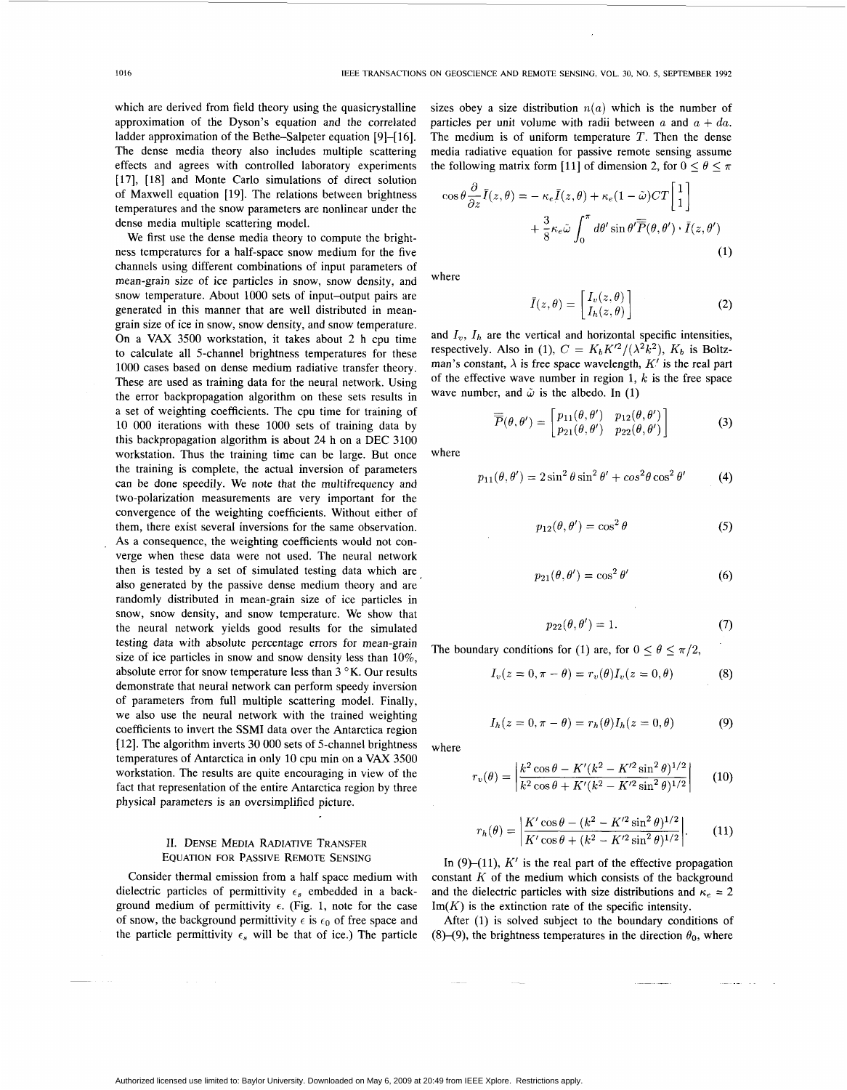j

which are derived from field theory using the quasicrystalline approximation of the Dyson's equation and the correlated ladder approximation of the Bethe-Salpeter equation [9]-[16]. The dense media theory also includes multiple scattering effects and agrees with controlled laboratory experiments [17], [18] and Monte Carlo simulations of direct solution of Maxwell equation [19]. The relations between brightness temperatures and the snow parameters are nonlinear under the dense media multiple scattering model.

We first use the dense media theory to compute the brightness temperatures for a half-space snow medium for the five channels using different combinations of input parameters of mean-grain size of ice particles in snow, snow density, and snow temperature. About 1000 sets of input-output pairs are generated in this manner that are well distributed in meangrain size of ice in snow, snow density, and snow temperature. On a VAX 3500 workstation, it takes about 2 h cpu time to calculate all 5-channel brightness temperatures for these 1000 cases based on dense medium radiative transfer theory. These are used as training data for the neural network. Using the error backpropagation algorithm on these sets results in a set of weighting coefficients. The cpu time for training of 10 000 iterations with these 1000 sets of training data by this backpropagation algorithm is about 24 h on a DEC 3100 workstation. Thus the training time can be large. But once the training is complete, the actual inversion of parameters can be done speedily. We note that the multifrequency and two-polarization measurements are very important for the convergence of the weighting coefficients. Without either of them, there exist several inversions for the same observation. **As** a consequence, the weighting coefficients would not converge when these data were not used. The neural network then is tested by a set of simulated testing data which are also generated by the passive dense medium theory and are randomly distributed in mean-grain size of ice particles in snow, snow density, and snow temperature. We show that the neural network yields good results for the simulated testing data with absolute percentage errors for mean-grain size of ice particles in snow and snow density less than  $10\%$ , absolute error for snow temperature less than  $3^\circ K$ . Our results demonstrate that neural network can perform speedy inversion of parameters from full multiple scattering model. Finally, we also use the neural network with the trained weighting coefficients to invert the SSMI data over the Antarctica region [12]. The algorithm inverts 30 000 sets of 5-channel brightness temperatures of Antarctica in only 10 cpu min on a VAX 3500 workstation. The results are quite encouraging in view of the fact that representation of the entire Antarctica region by three physical parameters is an oversimplified picture.

## **II. DENSE MEDIA RADIATIVE TRANSFER** EQUATION FOR PASSIVE REMOTE SENSING

Consider thermal emission from a half space medium with dielectric particles of permittivity  $\epsilon_s$  embedded in a background medium of permittivity  $\epsilon$ . (Fig. 1, note for the case of snow, the background permittivity  $\epsilon$  is  $\epsilon_0$  of free space and the particle permittivity  $\epsilon_s$  will be that of ice.) The particle

sizes obey a size distribution  $n(a)$  which is the number of particles per unit volume with radii between  $a$  and  $a + da$ . The medium is of uniform temperature *T.* Then the dense media radiative equation for passive remote sensing assume the following matrix form [11] of dimension 2, for  $0 \le \theta \le \pi$ 

$$
\cos\theta \frac{\partial}{\partial z}\bar{I}(z,\theta) = -\kappa_e \bar{I}(z,\theta) + \kappa_e (1-\tilde{\omega})CT\begin{bmatrix}1\\1\end{bmatrix} + \frac{3}{8}\kappa_e \tilde{\omega} \int_0^{\pi} d\theta' \sin\theta' \overline{\bar{P}}(\theta,\theta') \cdot \bar{I}(z,\theta')
$$
\n(1)

where

$$
\bar{I}(z,\theta) = \begin{bmatrix} I_v(z,\theta) \\ I_h(z,\theta) \end{bmatrix}
$$
 (2)

and  $I_v$ ,  $I_h$  are the vertical and horizontal specific intensities, respectively. Also in (1),  $C = K_b K'^2 / (\lambda^2 k^2)$ ,  $K_b$  is Boltzman's constant,  $\lambda$  is free space wavelength,  $K'$  is the real part of the effective wave number in region 1,  $k$  is the free space wave number, and  $\tilde{\omega}$  is the albedo. In (1)

$$
\overline{\overline{P}}(\theta,\theta') = \begin{bmatrix} p_{11}(\theta,\theta') & p_{12}(\theta,\theta') \\ p_{21}(\theta,\theta') & p_{22}(\theta,\theta') \end{bmatrix}
$$
(3)

where

$$
p_{11}(\theta, \theta') = 2\sin^2\theta\sin^2\theta' + \cos^2\theta\cos^2\theta'
$$
 (4)

$$
p_{12}(\theta, \theta') = \cos^2 \theta \tag{5}
$$

$$
p_{21}(\theta, \theta') = \cos^2 \theta' \tag{6}
$$

$$
p_{22}(\theta, \theta') = 1. \tag{7}
$$

The boundary conditions for (1) are, for  $0 \le \theta \le \pi/2$ ,

$$
I_v(z=0,\pi-\theta) = r_v(\theta)I_v(z=0,\theta)
$$
 (8)

$$
I_h(z=0, \pi - \theta) = r_h(\theta)I_h(z=0, \theta)
$$
\n(9)

where

$$
r_v(\theta) = \left| \frac{k^2 \cos \theta - K'(k^2 - K'^2 \sin^2 \theta)^{1/2}}{k^2 \cos \theta + K'(k^2 - K'^2 \sin^2 \theta)^{1/2}} \right| \qquad (10)
$$

$$
r_h(\theta) = \left| \frac{K' \cos \theta - (k^2 - K'^2 \sin^2 \theta)^{1/2}}{K' \cos \theta + (k^2 - K'^2 \sin^2 \theta)^{1/2}} \right|.
$$
 (11)

In  $(9)$ – $(11)$ ,  $K'$  is the real part of the effective propagation constant *K* of the medium which consists of the background and the dielectric particles with size distributions and  $\kappa_e = 2$  $Im(K)$  is the extinction rate of the specific intensity.

After (1) is solved subject to the boundary conditions of (8)–(9), the brightness temperatures in the direction  $\theta_0$ , where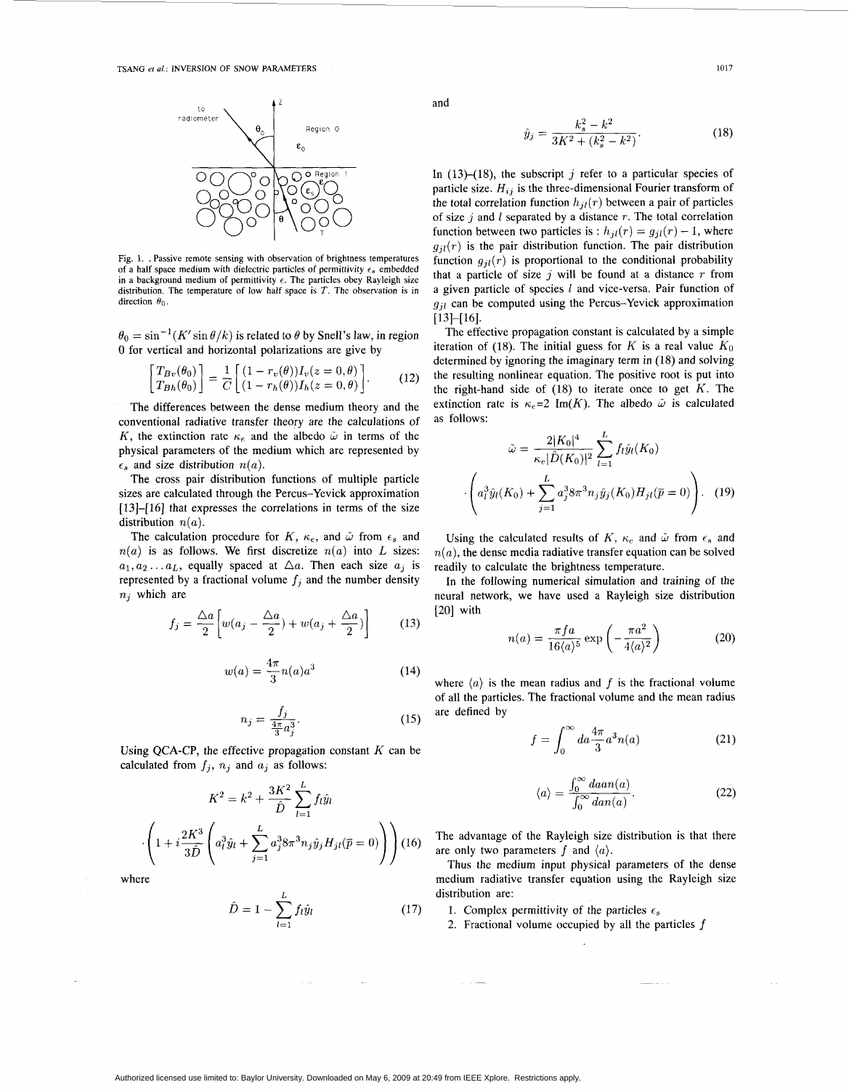

Fig. 1. , Passive remote sensing with observation of brightness temperatures of a half space medium with dielectric particles of permittivity  $\epsilon_s$  embedded in a background medium of permittivity  $\epsilon$ . The particles obey Rayleigh size distribution. The temperature of low half space is T. The observation is in direction  $\theta_0$ 

 $\theta_0 = \sin^{-1}(K' \sin \theta / k)$  is related to  $\theta$  by Snell's law, in region *0* for vertical and horizontal polarizations are give by

$$
\begin{bmatrix} T_{Bv}(\theta_0) \\ T_{Bh}(\theta_0) \end{bmatrix} = \frac{1}{C} \begin{bmatrix} (1 - r_v(\theta))I_v(z = 0, \theta) \\ (1 - r_h(\theta))I_h(z = 0, \theta) \end{bmatrix}.
$$
 (12)

The differences between the dense medium theory and the conventional radiative transfer theory are the calculations of *K*, the extinction rate  $\kappa_e$  and the albedo  $\tilde{\omega}$  in terms of the physical parameters of the medium which are represented by  $\epsilon_s$  and size distribution  $n(a)$ .

The cross pair distribution functions of multiple particle sizes are calculated through the Percus-Yevick approximation [13]-[16] that expresses the correlations in terms of the size distribution  $n(a)$ .

The calculation procedure for  $K$ ,  $\kappa_e$ , and  $\tilde{\omega}$  from  $\epsilon_s$  and  $n(a)$  is as follows. We first discretize  $n(a)$  into *L* sizes:  $a_1, a_2... a_L$ , equally spaced at  $\Delta a$ . Then each size  $a_j$  is represented by a fractional volume  $f_i$  and the number density *n,* which are

$$
f_j = \frac{\Delta a}{2} \bigg[ w(a_j - \frac{\Delta a}{2}) + w(a_j + \frac{\Delta a}{2}) \bigg] \qquad (13)
$$

$$
w(a) = \frac{4\pi}{3}n(a)a^3
$$
 (14)

$$
n_j = \frac{f_j}{\frac{4\pi}{3}a_j^3}.\tag{15}
$$

Using QCA-CP, the effective propagation constant *K* can be calculated from  $f_j$ ,  $n_j$  and  $a_j$  as follows:

log QCA-CP, the effective propagation constant 
$$
K
$$
 can be  
ulated from  $f_j$ ,  $n_j$  and  $a_j$  as follows:

\n
$$
K^2 = k^2 + \frac{3K^2}{\hat{D}} \sum_{l=1}^L f_l \hat{y}_l
$$
\n
$$
\left(1 + i\frac{2K^3}{3\hat{D}} \left(a_l^3 \hat{y}_l + \sum_{j=1}^L a_j^3 8\pi^3 n_j \hat{y}_j H_{jl}(\overline{p} = 0)\right)\right)
$$
\n(16)

$$
\hat{D} = 1 - \sum_{l=1}^{L} f_l \hat{y}_l
$$
\n(17)

and

$$
\hat{y}_j = \frac{k_s^2 - k^2}{3K^2 + (k_s^2 - k^2)}.\tag{18}
$$

In (13)-(18), the subscript *j* refer to a particular species of particle size.  $H_{ij}$  is the three-dimensional Fourier transform of the total correlation function  $h_{jl}(r)$  between a pair of particles of size  $j$  and  $l$  separated by a distance  $r$ . The total correlation function between two particles is :  $h_{jl}(r) = g_{jl}(r) - 1$ , where  $q_{il}(r)$  is the pair distribution function. The pair distribution function  $q_{il}(r)$  is proportional to the conditional probability that a particle of size  $j$  will be found at a distance  $r$  from a given particle of species *1* and vice-versa. Pair function of *g,1* can be computed using the Percus-Yevick approximation  $[13]–[16]$ .

The effective propagation constant is calculated by a simple iteration of (18). The initial guess for *K* is a real value  $K_0$ determined by ignoring the imaginary term in **(18)** and solving the resulting nonlinear equation. The positive root is put into the right-hand side of  $(18)$  to iterate once to get  $K$ . The extinction rate is  $\kappa_e=2$  Im(K). The albedo  $\tilde{\omega}$  is calculated as follows:

$$
\tilde{\omega} = \frac{2|K_0|^4}{\kappa_e |\hat{D}(K_0)|^2} \sum_{l=1}^L f_l \hat{y}_l(K_0)
$$

$$
\left( a_l^3 \hat{y}_l(K_0) + \sum_{j=1}^L a_j^3 8\pi^3 n_j \hat{y}_j(K_0) H_{jl}(\overline{p} = 0) \right). \quad (19)
$$

Using the calculated results of *K,*  $\kappa_e$  and  $\tilde{\omega}$  from  $\epsilon_s$  and  $n(a)$ , the dense media radiative transfer equation can be solved readily to calculate the brightness temperature.

In the following numerical simulation and training of the neural network, we have used **a** Rayleigh size distribution  $[20]$  with

$$
n(a) = \frac{\pi f a}{16\langle a \rangle^5} \exp\left(-\frac{\pi a^2}{4\langle a \rangle^2}\right) \tag{20}
$$

where  $\langle a \rangle$  is the mean radius and f is the fractional volume of all the particles. The fractional volume and the mean radius are defined by

$$
f = \int_0^\infty da \frac{4\pi}{3} a^3 n(a) \tag{21}
$$

$$
\langle a \rangle = \frac{\int_0^\infty daan(a)}{\int_0^\infty dan(a)}.\tag{22}
$$

The advantage of the Rayleigh size distribution is that there are only two parameters  $f$  and  $\langle a \rangle$ .

Thus the medium input physical parameters of the dense where where the medium radiative transfer equation using the Rayleigh size distribution are:

- 1. Complex permittivity of the particles  $\epsilon_s$
- 2. Fractional volume occupied by all the particles *f*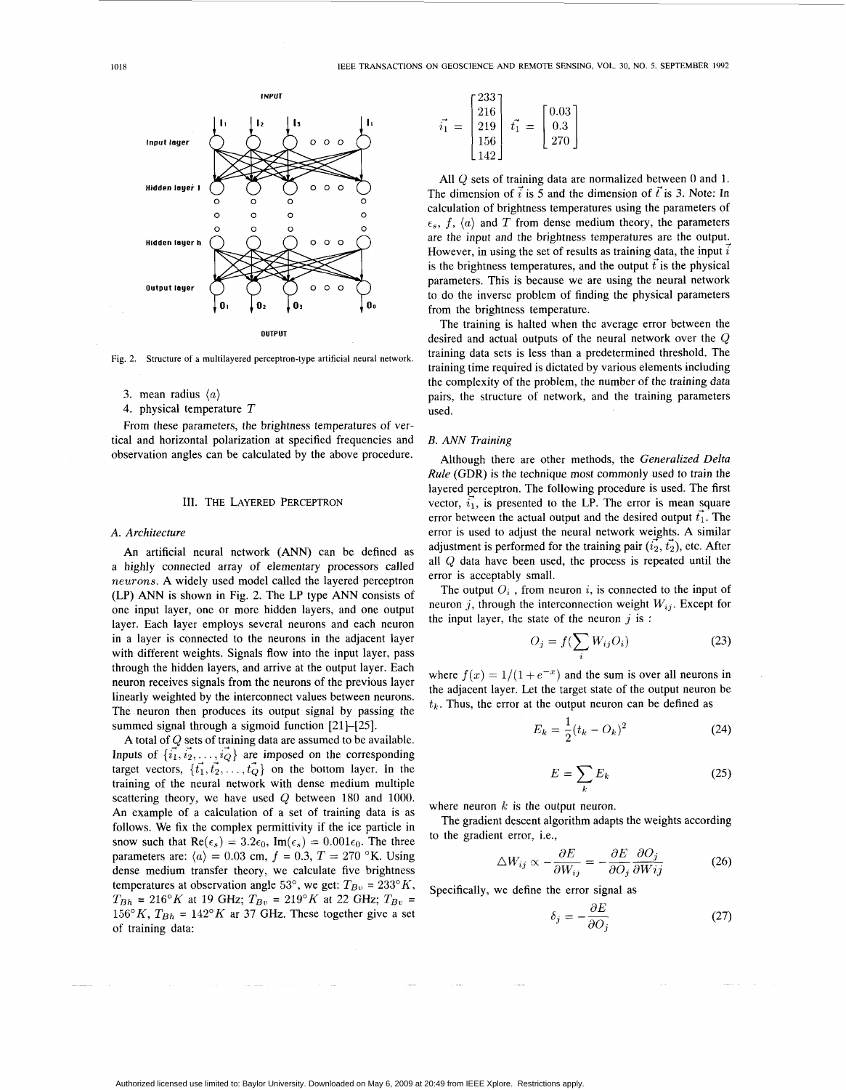

Fig. 2. Structure of a multilayered perceptron-type artificial neural network

#### 3. mean radius  $\langle a \rangle$

4. physical temperature *T* 

From these parameters, the brightness temperatures of vertical and horizontal polarization at specified frequencies and observation angles can be calculated by the above procedure.

#### **111.** THE LAYERED PERCEPTRON

## **A.** *Architecture*

An artificial neural network (ANN) can be defined as a highly connected array of elementary processors called *neurons.* A widely used model called the layered perceptron (LP) ANN is shown in Fig. 2. The LP type ANN consists of one input layer, one or more hidden layers, and one output layer. Each layer employs several neurons and each neuron in a layer is connected to the neurons in the adjacent layer with different weights. Signals flow into the input layer, pass through the hidden layers, and arrive at the output layer. Each neuron receives signals from the neurons of the previous layer linearly weighted by the interconnect values between neurons. The neuron then produces its output signal by passing the summed signal through a sigmoid function [21]-[25].

A total of  $Q$  sets of training data are assumed to be available. Inputs of  $\{i_1, i_2, \ldots, i_Q\}$  are imposed on the corresponding target vectors,  $\{\vec{t_1}, \vec{t_2}, \dots, \vec{t_Q}\}$  on the bottom layer. In the training of the neural network with dense medium multiple scattering theory, we have used Q between 180 and 1000. An example of a calculation of a set of training data is as follows. We fix the complex permittivity if the ice particle in snow such that  $\text{Re}(\epsilon_s) = 3.2\epsilon_0$ ,  $\text{Im}(\epsilon_s) = 0.001\epsilon_0$ . The three parameters are:  $\langle a \rangle = 0.03$  cm,  $f = 0.3$ ,  $T = 270$  °K. Using dense medium transfer theory, we calculate five brightness temperatures at observation angle 53°, we get:  $T_{Bv} = 233°K$ ,  $156^{\circ}K$ ,  $T_{Bh} = 142^{\circ}K$  ar 37 GHz. These together give a set of training data:  $T_{Bh}$  = 216°K at 19 GHz;  $T_{Bv}$  = 219°K at 22 GHz;  $T_{Bv}$  =

$$
\vec{i_1} = \begin{bmatrix} 233 \\ 216 \\ 219 \\ 156 \\ 142 \end{bmatrix} \quad \vec{t_1} = \begin{bmatrix} 0.03 \\ 0.3 \\ 270 \end{bmatrix}
$$

 $\sim$  000  $\sim$ 

All *Q* sets of training data are normalized between 0 and 1. The dimension of  $\vec{i}$  is 5 and the dimension of  $\vec{t}$  is 3. Note: In calculation of brightness temperatures using the parameters of  $\epsilon_s$ ,  $f$ ,  $\langle a \rangle$  and T from dense medium theory, the parameters are the input and the brightness temperatures are the output: However, in using the set of results as training data, the input  $\hat{i}$ is the brightness temperatures, and the output  $\vec{t}$  is the physical parameters. This is because we are using the neural network to do the inverse problem of finding the physical parameters from the brightness temperature.

The training is halted when the average error between the desired and actual outputs of the neural network over the Q training data sets is less than a predetermined threshold. The training time required is dictated by various elements including the complexity of the problem, the number of the training data pairs, the structure of network, and the training parameters used.

## *B. ANN Training*

Although there are other methods, the *Generalized Delta Rule* (GDR) is the technique most commonly used to train the layered perceptron. The following procedure is used. The first vector,  $\vec{i_1}$ , is presented to the LP. The error is mean square error between the actual output and the desired output  $\vec{t_1}$ . The error is used to adjust the neural network weights. A similar adjustment is performed for the training pair  $(i_2, i_2)$ , etc. After all  $Q$  data have been used, the process is repeated until the error is acceptably small.

The output  $O_i$ , from neuron *i*, is connected to the input of neuron *j*, through the interconnection weight  $W_{ij}$ . Except for the input layer, the state of the neuron  $j$  is :

$$
O_j = f(\sum_i W_{ij} O_i)
$$
 (23)

where  $f(x) = 1/(1 + e^{-x})$  and the sum is over all neurons in the adjacent layer. Let the target state of the output neuron be  $t_k$ . Thus, the error at the output neuron can be defined as

$$
E_k = \frac{1}{2}(t_k - O_k)^2
$$
 (24)

$$
E = \sum_{k} E_k \tag{25}
$$

where neuron *k* is the output neuron.

to the gradient error, i.e., The gradient descent algorithm adapts the weights according

$$
\Delta W_{ij} \propto -\frac{\partial E}{\partial W_{ij}} = -\frac{\partial E}{\partial O_j} \frac{\partial O_j}{\partial W_{ij}}
$$
(26)

Specifically, we define the error signal as

$$
S_j = -\frac{\partial E}{\partial O_j} \tag{27}
$$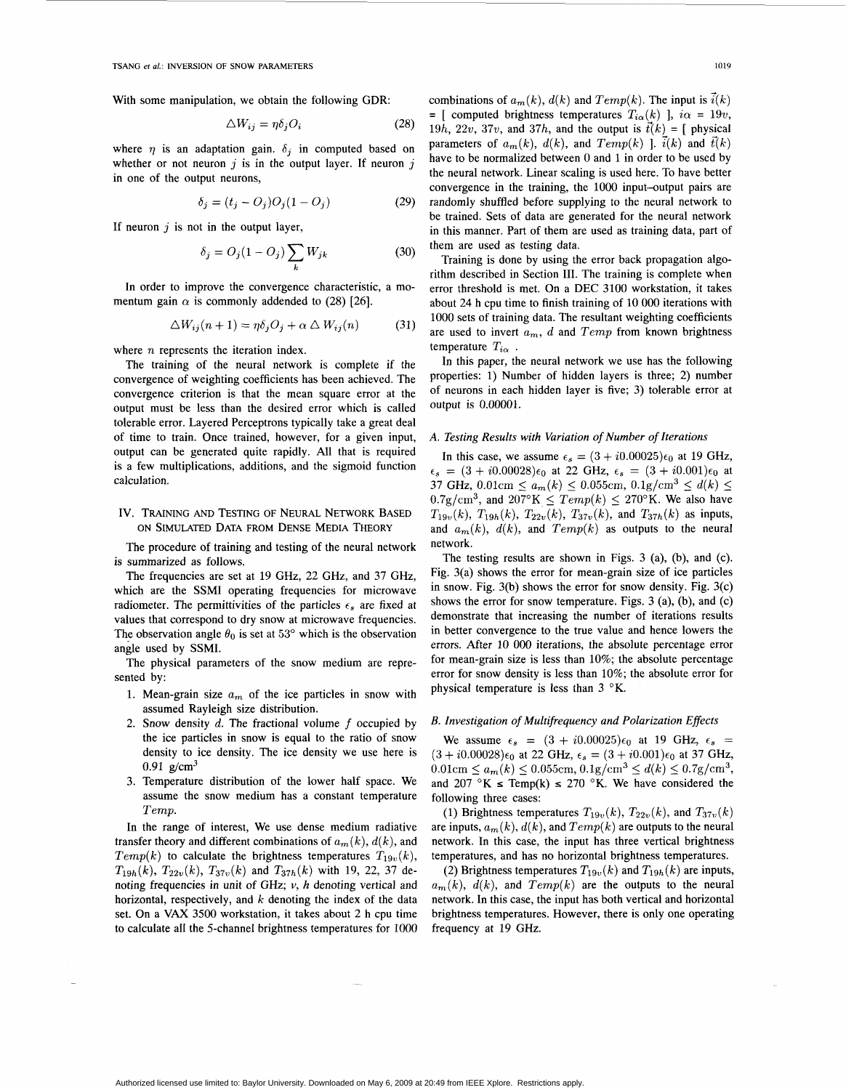With some manipulation, we obtain the following GDR:

$$
\triangle W_{ij} = \eta \delta_j O_i \tag{28}
$$

where  $\eta$  is an adaptation gain.  $\delta_i$  in computed based on whether or not neuron  $j$  is in the output layer. If neuron  $j$ in one of the output neurons,

$$
\delta_j = (t_j - O_j)O_j(1 - O_j)
$$
 (29)

If neuron  $i$  is not in the output layer,

$$
\delta_j = O_j(1 - O_j) \sum_k W_{jk} \tag{30}
$$

In order to improve the convergence characteristic, a momentum gain  $\alpha$  is commonly addended to (28) [26].

$$
\Delta W_{ij}(n+1) = \eta \delta_j O_j + \alpha \Delta W_{ij}(n) \tag{31}
$$

where *n* represents the iteration index.

The training of the neural network is complete if the convergence of weighting coefficients has been achieved. The convergence criterion is that the mean square error at the output must be less than the desired error which is called tolerable error. Layered Perceptrons typically take a great deal of time to train. Once trained, however, for a given input, output can be generated quite rapidly. All that is required is a few multiplications, additions, and the sigmoid function calculation.

# Iv. TRAINING AND **TESTING** OF NEURAL NETWORK BASED ON SIMULATED DATA FROM DENSE MEDIA THEORY

The procedure of training and testing of the neural network is summarized as follows.

The frequencies are set at 19 GHz, 22 GHz, and 37 GHz, which are the SSMI operating frequencies for microwave radiometer. The permittivities of the particles  $\epsilon_s$  are fixed at values that correspond to dry snow at microwave frequencies. The observation angle  $\theta_0$  is set at 53° which is the observation angle used by SSMI.

The physical parameters of the snow medium are represented by:

- 1. Mean-grain size  $a_m$  of the ice particles in snow with assumed Rayleigh size distribution.
- 2. Snow density *d.* The fractional volume *f* occupied by the ice particles in snow is equal to the ratio of snow density to ice density. The ice density we use here is 0.91  $g/cm^{3}$
- **3.** Temperature distribution of the lower half space. We assume the snow medium has a constant temperature *Temp.*

In the range of interest, We use dense medium radiative transfer theory and different combinations of  $a_m(k)$ ,  $d(k)$ , and *Temp(k)* to calculate the brightness temperatures  $T_{19v}(k)$ , noting frequencies in unit of GHz; *v, h* denoting vertical and horizontal, respectively, and *k* denoting the index of the data set. On a VAX 3500 workstation, it takes about 2 h cpu time to calculate all the 5-channel brightness temperatures for 1000  $T_{19h}(k)$ ,  $T_{22v}(k)$ ,  $T_{37v}(k)$  and  $T_{37h}(k)$  with 19, 22, 37 decombinations of  $a_m(k)$ ,  $d(k)$  and  $Temp(k)$ . The input is  $\vec{i}(k)$  $=$  [ computed brightness temperatures  $T_{i\alpha}(k)$  ],  $i\alpha = 19v$ , 19h, 22v, 37v, and 37h, and the output is  $\vec{t}(k) = \alpha$  physical parameters of  $a_m(k)$ ,  $d(k)$ , and  $Temp(k)$  ].  $\vec{i}(k)$  and  $\vec{t}(k)$ have to be normalized between 0 and 1 in order to be used by the neural network. Linear scaling is used here. To have better convergence in the training, the 1000 input-output pairs are randomly shuffled before supplying to the neural network to be trained. Sets of data are generated for the neural network in this manner. Part of them are used as training data, part of them are used as testing data.

Training is done by using the error back propagation algorithm described in Section 111. The training is complete when error threshold is met. On a DEC 3100 workstation, it takes about 24 h cpu time to finish training of 10 000 iterations with 1000 sets of training data. The resultant weighting coefficients are used to invert  $a_m$ ,  $d$  and  $Temp$  from known brightness temperature  $T_{i\alpha}$ .

In this paper, the neural network we use has the following properties: 1) Number of hidden layers is three; 2) number of neurons in each hidden layer is five; 3) tolerable error at output is 0.00001.

# *A. Testing Results with Variation of Number of Iterations*

In this case, we assume  $\epsilon_s = (3 + i0.00025)\epsilon_0$  at 19 GHz,  $\epsilon_s = (3 + i0.00028)\epsilon_0$  at 22 GHz,  $\epsilon_s = (3 + i0.001)\epsilon_0$  at 37 GHz,  $0.01 \text{cm} \le a_m(k) \le 0.055 \text{cm}$ ,  $0.1 \text{g/cm}^3 \le d(k) \le$  $0.7g/cm^3$ , and  $207^{\circ}K \leq Temp(k) \leq 270^{\circ}K$ . We also have and  $a_m(k)$ ,  $d(k)$ , and  $Temp(k)$  as outputs to the neural network.  $T_{19v}(k)$ ,  $T_{19h}(k)$ ,  $T_{22v}(k)$ ,  $T_{37v}(k)$ , and  $T_{37h}(k)$  as inputs,

The testing results are shown in [Figs.](#page-5-0) **3** (a), (b), and (c). Fig. 3(a) shows the error for mean-grain size of ice particles in snow. Fig. 3(b) shows the error for snow density. Fig. 3(c) shows the error for snow temperature. [Figs.](#page-5-0) **3** (a), (b), and (c) demonstrate that increasing the number of iterations results in better convergence to the true value and hence lowers the errors. After 10 000 iterations, the absolute percentage error for mean-grain size is less than 10%; the absolute percentage error for snow density is less than 10%; the absolute error for physical temperature is less than  $3 \text{ }^{\circ} \text{K}$ .

#### *B. Investigation of Multifrequency and Polarization Effects*

We assume  $\epsilon_s = (3 + i0.00025)\epsilon_0$  at 19 GHz,  $\epsilon_s =$  $(3 + i0.00028)\epsilon_0$  at 22 GHz,  $\epsilon_s = (3 + i0.001)\epsilon_0$  at 37 GHz,  $0.01 \text{cm} \le a_m(k) \le 0.055 \text{cm}, 0.1 \text{g/cm}^3 \le d(k) \le 0.7 \text{g/cm}^3,$ and 207  $\mathcal{K} \leq$  Temp(k)  $\leq$  270  $\mathcal{K}$ . We have considered the following three cases:

(1) Brightness temperatures  $T_{19v}(k)$ ,  $T_{22v}(k)$ , and  $T_{37v}(k)$ are inputs,  $a_m(k)$ ,  $d(k)$ , and  $Temp(k)$  are outputs to the neural network. In this case, the input has three vertical brightness temperatures, and has no horizontal brightness temperatures.

(2) Brightness temperatures  $T_{19v}(k)$  and  $T_{19h}(k)$  are inputs,  $a_m(k)$ ,  $d(k)$ , and  $Temp(k)$  are the outputs to the neural network. In this case, the input has both vertical and horizontal brightness temperatures. However, there is only one operating frequency at 19 GHz.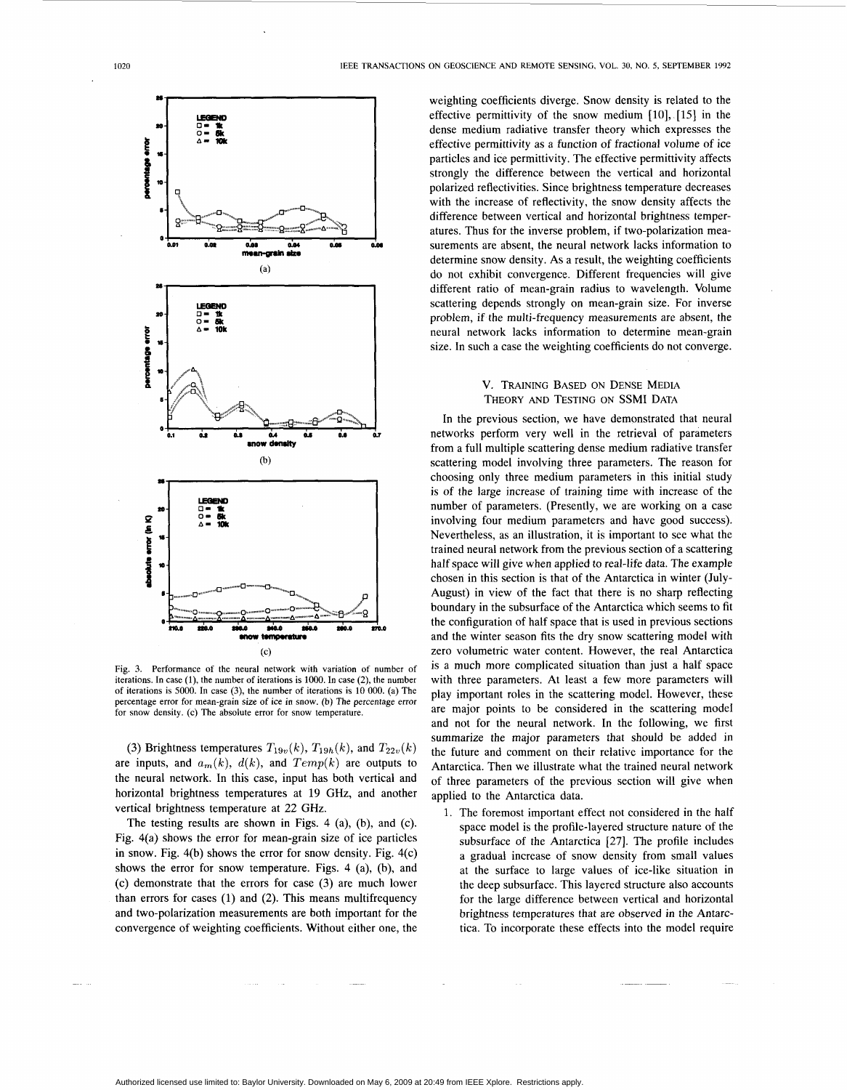<span id="page-5-0"></span>

**Fig. 3. Performance of the neural network with variation** of **number** of **iterations. In case** (l), **the number** of **iterations is** 1000. **In case** (2), **the number**  of **iterations is 5000.** In **case** *(3),* **the number** of **iterations is 10** *000.* **(a) The percentage error** for **mean-grain size** of **ice in snow. (b) The percentage error**  for **snow density. (c) The absolute** error for **snow temperature.** 

(3) Brightness temperatures  $T_{19v}(k)$ ,  $T_{19h}(k)$ , and  $T_{22v}(k)$ are inputs, and  $a_m(k)$ ,  $d(k)$ , and  $Temp(k)$  are outputs to the neural network. In this case, input has both vertical and horizontal brightness temperatures at 19 GHz, and another vertical brightness temperature at *22* GHz.

The testing results are shown in [Figs. 4](#page-6-0) (a), (b), and (c). Fig. 4(a) shows the error for mean-grain size of ice particles in snow. Fig. 4(b) shows the error for snow density. Fig. 4(c) shows the error for snow temperature. [Figs. 4](#page-6-0) (a), (b), and (c) demonstrate that the errors for case **(3)** are much lower than errors for cases (1) and *(2).* This means multifrequency and two-polarization measurements are both important for the convergence of weighting coefficients. Without either one, the weighting coefficients diverge. Snow density is related to the effective permittivity of the snow medium  $[10]$ ,  $[15]$  in the dense medium radiative transfer theory which expresses the effective permittivity as a function of fractional volume of ice particles and ice permittivity. The effective permittivity affects strongly the difference between the vertical and horizontal polarized reflectivities. Since brightness temperature decreases with the increase of reflectivity, the snow density affects the difference between vertical and horizontal brightness temperatures. Thus for the inverse problem, if two-polarization measurements are absent, the neural network lacks information to determine snow density. As a result, the weighting coefficients do not exhibit convergence. Different frequencies will give different ratio of mean-grain radius to wavelength. Volume scattering depends strongly on mean-grain size. For inverse problem, if the multi-frequency measurements are absent, the neural network lacks information to determine mean-grain size. In such a case the weighting coefficients do not converge.

# v. TRAINING BASED ON DENSE MEDIA THEORY AND TESTING ON SSMI DATA

In the previous section, we have demonstrated that neural networks perform very well in the retrieval of parameters from a full multiple scattering dense medium radiative transfer scattering model involving three parameters. The reason for choosing only three medium parameters in this initial study is of the large increase of training time with increase of the number of parameters. (Presently, we are working on a case involving four medium parameters and have good success). Nevertheless, as an illustration, it is important to see what the trained neural network from the previous section of a scattering half space will give when applied to real-life data. The example chosen in this section is that of the Antarctica in winter (July-August) in view of the fact that there is no sharp reflecting boundary in the subsurface of the Antarctica which seems to fit the configuration of half space that is used in previous sections and the winter season fits the dry snow scattering model with zero volumetric water content. However, the real Antarctica is a much more complicated situation than just a half space with three parameters. At least a few more parameters will play important roles in the scattering model. However, these are major points to be considered in the scattering model and not for the neural network. In the following, we first summarize the major parameters that should be added in the future and comment on their relative importance for the Antarctica. Then we illustrate what the trained neural network of three parameters of the previous section will give when applied to the Antarctica data.

1. The foremost important effect not considered in the half space model is the profile-layered structure nature of the subsurface of the Antarctica [27]. The profile includes a gradual increase of snow density from small values at the surface to large values of ice-like situation in the deep subsurface. This layered structure also accounts for the large difference between vertical and horizontal brightness temperatures that are observed in the Antarctica. To incorporate these effects into the model require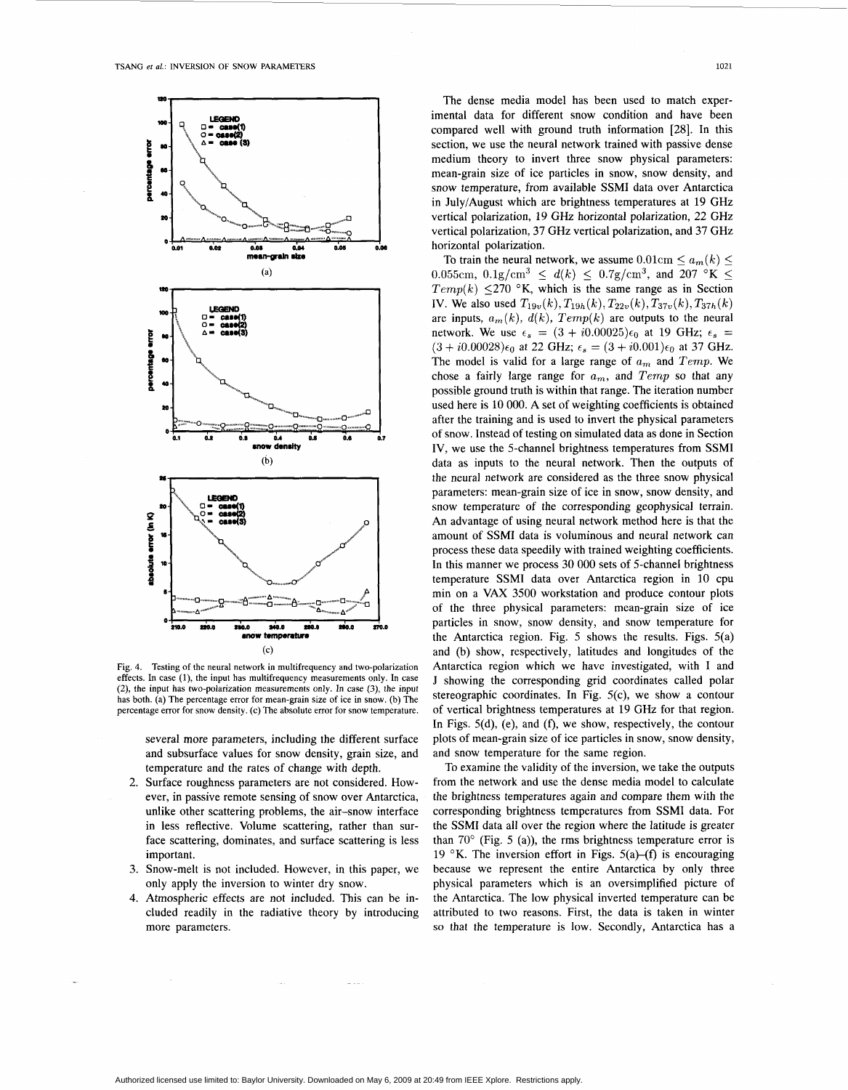<span id="page-6-0"></span>

Fig. **4.** Testing of the neural network in multifrequency and two-polarization effects. In case (1), the input has multifrequency measurements only. In case (2), the input has two-polarization measurements only. In case *(3),* the input has both. **(a)** The percentage error for mean-grain size of ice in **snow.** (b) The percentage error for snow density. (c) The absolute error for **snow** temperature.

several more parameters, including the different surface and subsurface values for snow density, grain size, and temperature and the rates of change with depth.

- 2. Surface roughness parameters are not considered. However, in passive remote sensing of snow over Antarctica, unlike other scattering problems, the air-snow interface in less reflective. Volume scattering, rather than surface scattering, dominates, and surface scattering is less important.
- Snow-melt is not included. However, in this paper, we only apply the inversion to winter dry snow.
- Atmospheric effects are not included. This can be included readily in the radiative theory by introducing more parameters.

The dense media model has been used to match experimental data for different show condition and have been<br>  $\begin{bmatrix}\n\text{ceous}\n\end{bmatrix}$ <br>  $\begin{bmatrix}\n\text{ceous}\n\end{bmatrix}$ <br>  $\begin{bmatrix}\n\text{ceous}\n\end{bmatrix}$ <br>  $\begin{bmatrix}\n\text{ceous}\n\end{bmatrix}$ <br>  $\begin{bmatrix}\n\text{ceous}\n\end{b$ The dense media model has been used to match experimental data for different snow condition and have been compared well with ground truth information **[28].** In this section, we use the neural network trained with passive dense medium theory to invert three snow physical parameters: mean-grain size of ice particles in snow, snow density, and snow temperature, from available **SSMI** data over Antarctica in July/August which are brightness temperatures at 19 GHz vertical polarization, 19 GHz horizontal polarization, 22 GHz vertical polarization, 37 GHz vertical polarization, and 37 GHz horizontal polarization.

> To train the neural network, we assume  $0.01 \text{cm} \le a_m(k) \le$  $0.055cm, 0.1g/cm^3 \leq d(k) \leq 0.7g/cm^3$ , and 207 °K  $\leq$  $Temp(k) \leq 270$  °K, which is the same range as in Section IV. We also used  $T_{19v}(k)$ ,  $T_{19h}(k)$ ,  $T_{22v}(k)$ ,  $T_{37v}(k)$ ,  $T_{37h}(k)$ are inputs,  $a_m(k)$ ,  $d(k)$ ,  $Temp(k)$  are outputs to the neural network. We use  $\epsilon_s = (3 + i0.00025)\epsilon_0$  at 19 GHz;  $\epsilon_s =$  $(3 + i0.00028)\epsilon_0$  at 22 GHz;  $\epsilon_s = (3 + i0.001)\epsilon_0$  at 37 GHz. The model is valid for a large range of  $a_m$  and  $Temp$ . We chose a fairly large range for  $a_m$ , and  $Temp$  so that any possible ground truth is within that range. The iteration number used here is 10 000. A set of weighting coefficients is obtained after the training and is used to invert the physical parameters of snow. Instead of testing on simulated data as done in Section IV, we use the 5-channel brightness temperatures from SSMI data as inputs to the neural network. Then the outputs of the neural network are considered as the three snow physical parameters: mean-grain size of ice in snow, snow density, and snow temperature of the corresponding geophysical terrain. An advantage of using neural network method here is that the amount of SSMI data is voluminous and neural network can process these data speedily with trained weighting coefficients. In this manner we process 30 000 sets of 5-channel brightness temperature SSMI data over Antarctica region in 10 cpu min on a VAX 3500 workstation and produce contour plots of the three physical parameters: mean-grain size of ice particles in snow, snow density, and snow temperature for the Antarctica region. [Fig. 5](#page-7-0) shows the results. Figs. 5(a) and (b) show, respectively, latitudes and longitudes of the Antarctica region which we have investigated, with I and **<sup>J</sup>**showing the corresponding grid coordinates called polar stereographic coordinates. In Fig. 5(c), we show a contour of vertical brightness temperatures at 19 GHz for that region. In Figs. 5(d), (e), and **(f),** we show, respectively, the contour plots of mean-grain size of ice particles in snow, snow density, and snow temperature for the same region.

> To examine the validity **of** the inversion, we take the outputs from the network and use the dense media model to calculate the brightness temperatures again and compare them with the corresponding brightness temperatures from **SSMI** data. For the **SSMI** data all over the region where the latitude is greater than  $70^{\circ}$  [\(Fig.](#page-7-0) 5 (a)), the rms brightness temperature error is 19 °K. The inversion effort in Figs.  $5(a)$ -(f) is encouraging because we represent the entire Antarctica by only three physical parameters which is an oversimplified picture of the Antarctica. The low physical inverted temperature can be attributed to two reasons. First, the data is taken in winter so that the temperature is low. Secondly, Antarctica has a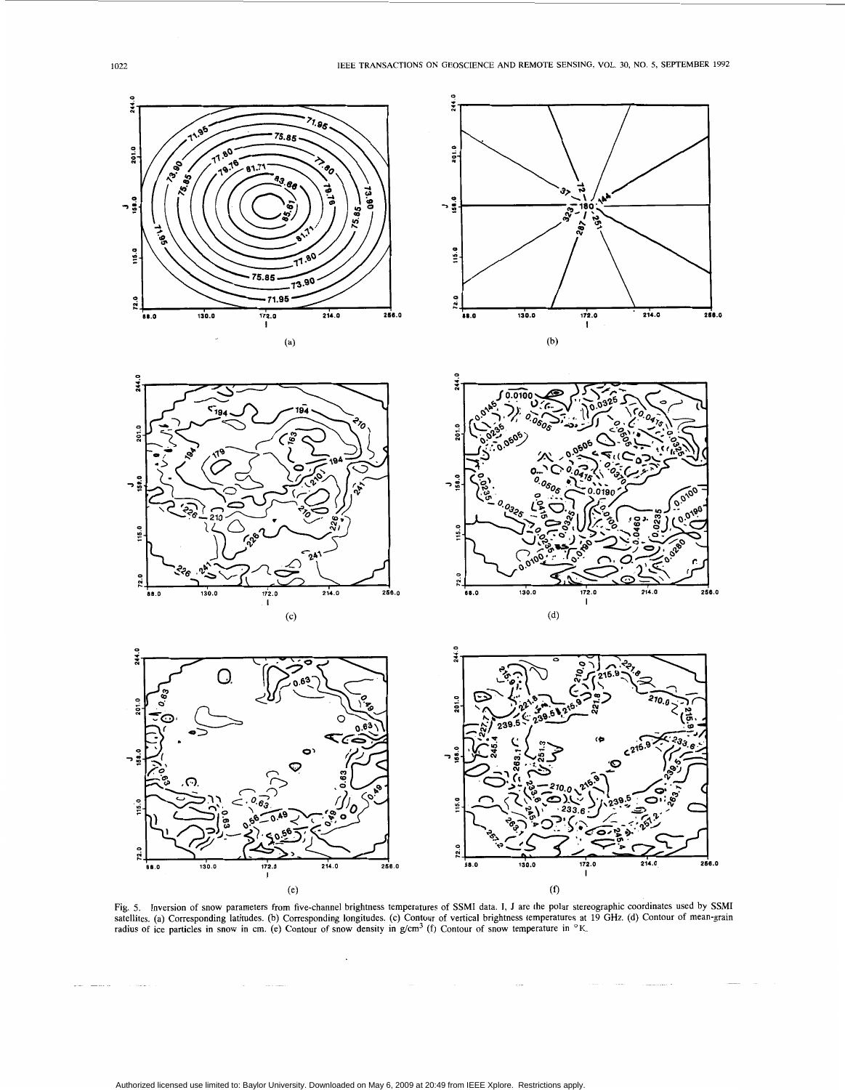$\mathcal{L}_{\text{max}}$  . The mass of  $\mathcal{L}_{\text{max}}$ 

<span id="page-7-0"></span>

Fig. 5. Inversion of snow parameters from five-channel brightness temperatures of SSMI data. I, J are the polar stereographic coordinates used by SSMI satellites. (a) Corresponding latitudes. (b) Corresponding longitudes.

 $\sim$   $\sim$ 

 $\sim$ 

 $\sim$  -construction of  $\sim$ 

 $\ddot{\phantom{a}}$ 

 $\sim$   $\sim$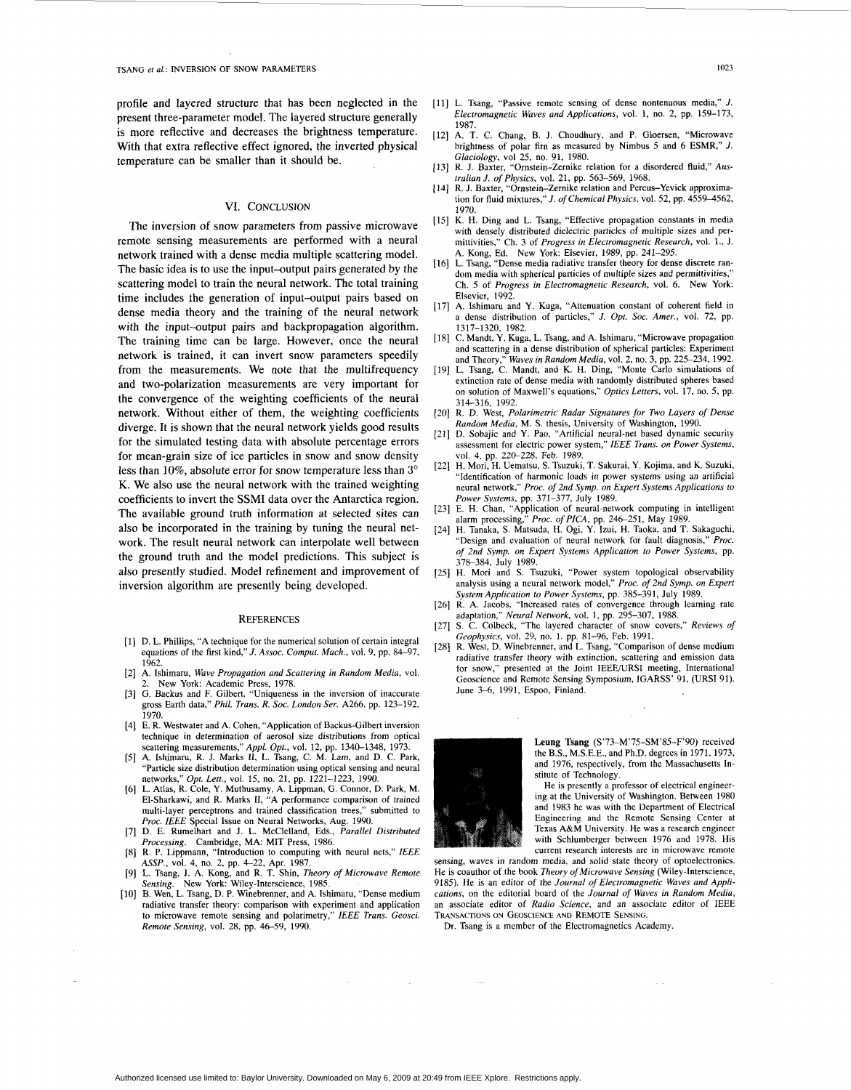profile and layered structure that has been neglected in the present three-parameter model. The layered structure generally is more reflective and decreases the brightness temperature. With that extra reflective effect ignored, the inverted physical temperature can be smaller than it should be.

#### **VI.** CONCLUSION

The inversion of snow parameters from passive microwave remote sensing measurements are performed with a neural network trained with a dense media multiple scattering model. The basic idea is to use the input-output pairs generated by the scattering model to train the neural network. The total training time includes the generation of input-output pairs based on dense media theory and the training of the neural network with the input-output pairs and backpropagation algorithm. The training time can be large. However, once the neural network is trained, it can invert snow parameters speedily from the measurements. We note that the multifrequency and two-polarization measurements are very important for the convergence of the weighting coefficients of the neural network. Without either of them, the weighting coefficients diverge. **It** is shown that the neural network yields good results for the simulated testing data with absolute percentage errors for mean-grain size of ice particles in snow and snow density less than 10%, absolute error for snow temperature less than 3° K. We also use the neural network with the trained weighting coefficients to invert the **SSMI** data over the Antarctica region. The available ground truth information at selected sites can also be incorporated in the training by tuning the neural network. The result neural network can interpolate well between the ground truth and the model predictions. This subject is also presently studied. Model refinement and improvement of inversion algorithm are presently being developed.

#### **REFERENCES**

- [l] D. L. Phillips, "A technique for the numerical solution of certain integral equations of the first kind," *J.* **Assoc.** *Comput. Mach.,* vol. 9, pp. 84-97, 1962.
- [2] A. Ishimaru, *Wave Propagation and Scattering in Random Media,* vol. 2. [3] G. Backus and F. Gilbert, ''Uniqueness in the inversion of inaccurate New York: Academic Press, 1978.
- gross Earth data," *Phil. Trans. R. Soc. London Ser.* A266, pp. 123-192, 1970.
- [4] E. R. Westwater and A. Cohen, "Application of Backus-Gilbert inversion technique in determination of aerosol size distributions from optical
- scattering measurements," *Appl. Opt.,* vol. 12, pp. 1340-1348, 1973. *[5]* A. Ishimaru, R. J. Marks **11, L.** Tsang, C. M. Lam, and D. C. Park, "Particle size distribution determination using optical sensing and neural
- networks," *Opt. Lett.,* vol. 15, no. 21, pp. 1221-1223, 1990. (61 L. Atlas, R. Cole, Y. Muthusamy, A. Lippman, G. Connor, D. Park, M. El-Sharkawi, and R. Marks 11, "A performance comparison of trained multi-layer perceptrons and trained classification trees," submitted to *Proc. IEEE* Special Issue on Neural Networks, Aug. 1990.
- [7] **D.** E. Rumelhart and J. L. McClelland, Eds., *Parallel Distributed Processing.*  Cambridge, MA: MIT Press, 1986.
- [8] R. P. Lippmann, "Introduction to computing with neural nets," *IEEE ASSP.,* vol. 4, no. 2, pp. 4-22, Apr. 1987.
- [9] L. Tsang, J. A. Kong, and R. T. Shin, *Theory of Microwave Remote Sensing.* New York: Wiley-Interscience, 1985.
- [10] B. Wen, L. Tsang, D. P. Winebrenner, and A. Ishimaru, "Dense medium radiative transfer theory: comparison with experiment and application to microwave remote sensing and polarimetry," *IEEE Trans. Geosci. Remote Sensing,* vol. 28, pp. 46-59, 1990.
- [12] A. T. C. Chang, B. J. Choudhury, and P. Gloersen, "Microwave brightness of polar fim as measured by Nimbus *5* and *6* ESMR," *J. Glaciology,* vol 25, no. 91, 1980.
- R. J. Baxter, "Ornstein-Zernike relation for a disordered fluid," *Australian J. of Physics,* vol. 21, pp. 563-569, 1968.
- [14] R. J. Baxter, "Ornstein-Zernike relation and Percus-Yevick approximation for fluid mixtures," *J. of Chemical Physics,* vol. 52, pp. 4559-4562, 1970.
- K. H. Ding and L. Tsang, "Effective propagation constants in media  $[15]$ with densely distributed dielectric particles of multiple sizes and permittivities," Ch. 3 of *Progress in Electromagnetic Research,* vol. l., J. **A.** Kong, Ed. New York: Elsevier, 1989, pp. 241-295.
- L. Tsang, "Dense media radiative transfer theory **for** dense discrete random media with spherical particles of multiple sizes and permittivities," Ch. *5* of *Progress in Electromagnetic Research,* vol. 6. New York: Elsevier, 1992.
- $[17]$ A. Ishimaru and Y. Kuga, "Attenuation constant **of** coherent field in a dense distribution of particles," *J. Opt. Soc. Amer.,* vol. 72, pp. 1317-1320, 1982.
- [18] C. Mandt, Y. Kuga, L. Tsang, and A. Ishimaru, "Microwave propagation and scattering in a dense distribution of spherical particles: Experiment and Theory," *Waves in Random Media,* vol. 2, no. 3, pp. 225-234, 1992.
- L. Tsang, C. Mandt, and K. H. Ding, "Monte Carlo simulations of extinction rate of dense media with randomly distributed spheres based on solution of Maxwell's equations," *Optics Letters,* vol. 17, no. *5,* pp. 314-316, 1992.
- R. D. West, *Polarimetric Radar Signatures for Two Layers* of *Dense*
- *Random Media,* M. *S.* thesis, University of Washington, 1990. **D.** Sobajic and *Y.* Pao, "Artificial neural-net based dynamic security  $[21]$ assessment for electric power system," *IEEE Trans. on Power Systems,*  vol. 4, pp. 220-228, Feb. 1989.
- H. Mori, H. Uematsu, **S.** Tsuzuki, T. Sakurai, Y. Kojima, and K. Suzuki, "Identification of harmonic loads in power systems using an artificial neural network," *Proc. of 2nd Symp. on Expert Systems Applications to Power Systems,* pp. 371-377, July 1989.
- E. H. Chan, "Application of neural-network computing in intelligent
- alarm processing," *Proc.* of *PICA,* pp. 246-251, May 1989. H. Tanaka, **S.** Matsuda, H. Ogi, Y. Izui, H. Taoka, and T. Sakaguchi, "Design and evaluation of neural network for fault diagnosis," *Proc.*  of *2nd Symp. on Expert Systems Application to Power Systems,* pp. 378-384, July 1989.
- [25] H. Mori and S. Tsuzuki, "Power system topological observability analysis using a neural network model," *Proc. of 2nd Symp. on Expert System Application to Power Systems,* pp. 385-391, July 1989.
- [26] R. A. Jacobs, "Increased rates of convergence through learning rate adaptation," *Neural Network,* vol. 1, pp. 295-307, 1988.
- **S.** C. Colbeck, "The layered character of snow covers," *Reviews of Geophysics,* vol. 29, no. 1. pp. 81-96, Feb. 1991.
- [28] R. West, D. Winebrenner, and L. Tsang, "Comparison of dense medium radiative transfer theory with extinction, scattering and emission data for snow," presented at the Joint IEEE/URSI meeting, International Geoscience and Remote Sensing Symposium, IGARSS' 91, (URSI 91). June 3-6, 1991, Espoo, Finland.



**Leung Tsang** (S'73-M'75-SM'85-F'90) received the B.S., M.S.E.E., and Ph.D. degrees in 1971,1973, and 1976, respectively, from the Massachusetts Institute of Technology.

He is presently a professor of electrical engineering at the University of Washington. Between 1980 and 1983 he was with the Department of Electrical Engineering and the Remote Sensing Center at Texas A&M University. He was a research engineer with Schlumberger between 1976 and 1978. His current research interests are in microwave remote

sensing, waves in random media, and solid state theory of optoelectronics. He is coauthor of the book *Theory of Microwave Sensing* (Wiley-Interscience, 9185). He is an editor of the *Journal* of *Electromagnetic Waves and Applications,* on the editorial board of the *Journal* of *Waves in Random Media,*  an associate editor of *Radio Science,* and an associate editor of IEEE TRANSACTIONS ON GEOSCIENCE AND REMOTE SENSING.

Dr. Tsang is a member **of** the Electromagnetics Academy.